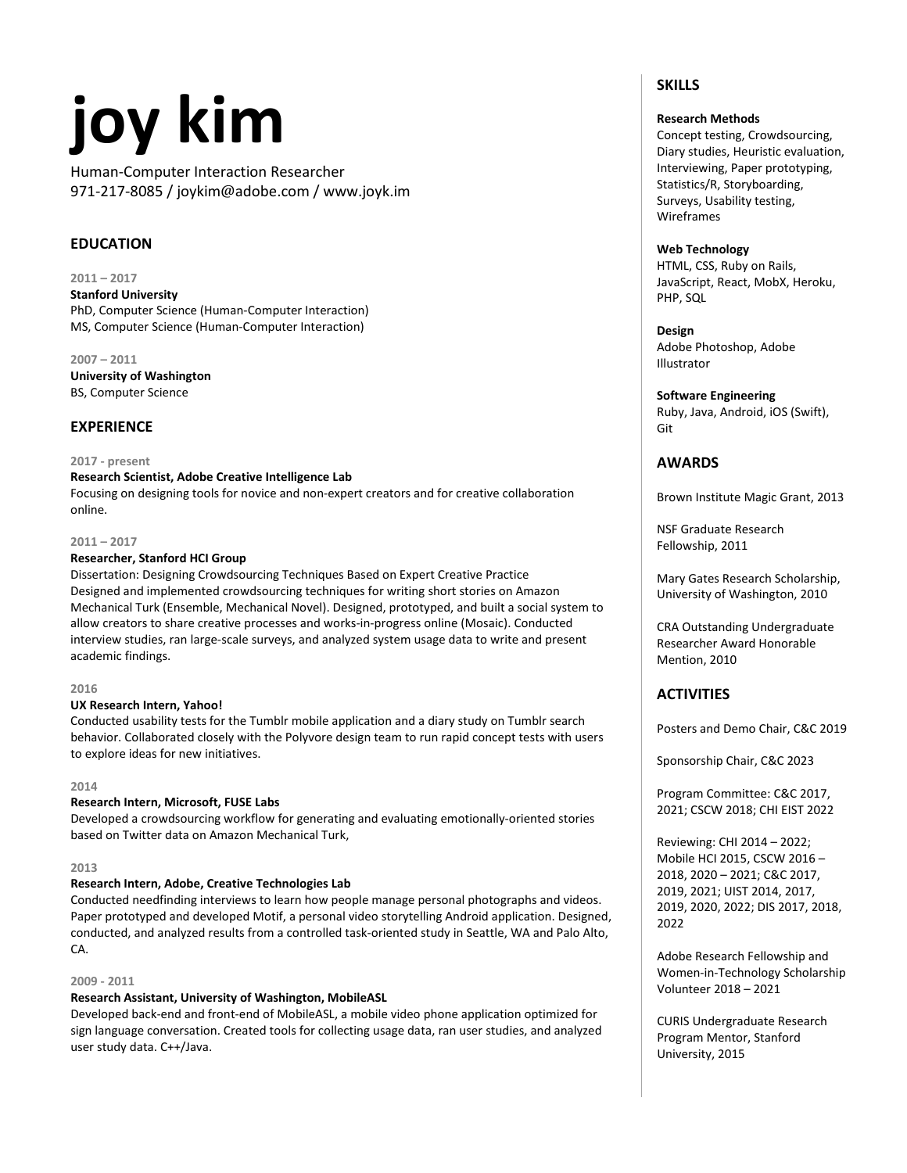# **joy kim**

Human-Computer Interaction Researcher 971-217-8085 / joykim@adobe.com / www.joyk.im

# **EDUCATION**

**2011 – 2017**

**Stanford University** PhD, Computer Science (Human-Computer Interaction) MS, Computer Science (Human-Computer Interaction)

**2007 – 2011 University of Washington** BS, Computer Science

# **EXPERIENCE**

#### **2017 - present**

**Research Scientist, Adobe Creative Intelligence Lab**

Focusing on designing tools for novice and non-expert creators and for creative collaboration online.

#### **2011 – 2017**

#### **Researcher, Stanford HCI Group**

Dissertation: Designing Crowdsourcing Techniques Based on Expert Creative Practice Designed and implemented crowdsourcing techniques for writing short stories on Amazon Mechanical Turk (Ensemble, Mechanical Novel). Designed, prototyped, and built a social system to allow creators to share creative processes and works-in-progress online (Mosaic). Conducted interview studies, ran large-scale surveys, and analyzed system usage data to write and present academic findings.

#### **2016**

#### **UX Research Intern, Yahoo!**

Conducted usability tests for the Tumblr mobile application and a diary study on Tumblr search behavior. Collaborated closely with the Polyvore design team to run rapid concept tests with users to explore ideas for new initiatives.

#### **2014**

# **Research Intern, Microsoft, FUSE Labs**

Developed a crowdsourcing workflow for generating and evaluating emotionally-oriented stories based on Twitter data on Amazon Mechanical Turk,

#### **2013**

# **Research Intern, Adobe, Creative Technologies Lab**

Conducted needfinding interviews to learn how people manage personal photographs and videos. Paper prototyped and developed Motif, a personal video storytelling Android application. Designed, conducted, and analyzed results from a controlled task-oriented study in Seattle, WA and Palo Alto, CA.

#### **2009 - 2011**

# **Research Assistant, University of Washington, MobileASL**

Developed back-end and front-end of MobileASL, a mobile video phone application optimized for sign language conversation. Created tools for collecting usage data, ran user studies, and analyzed user study data. C++/Java.

# **SKILLS**

## **Research Methods**

Concept testing, Crowdsourcing, Diary studies, Heuristic evaluation, Interviewing, Paper prototyping, Statistics/R, Storyboarding, Surveys, Usability testing, Wireframes

### **Web Technology**

HTML, CSS, Ruby on Rails, JavaScript, React, MobX, Heroku, PHP, SQL

**Design**

Adobe Photoshop, Adobe Illustrator

# **Software Engineering**

Ruby, Java, Android, iOS (Swift), Git

#### **AWARDS**

Brown Institute Magic Grant, 2013

NSF Graduate Research Fellowship, 2011

Mary Gates Research Scholarship, University of Washington, 2010

CRA Outstanding Undergraduate Researcher Award Honorable Mention, 2010

# **ACTIVITIES**

Posters and Demo Chair, C&C 2019

Sponsorship Chair, C&C 2023

Program Committee: C&C 2017, 2021; CSCW 2018; CHI EIST 2022

Reviewing: CHI 2014 – 2022; Mobile HCI 2015, CSCW 2016 – 2018, 2020 – 2021; C&C 2017, 2019, 2021; UIST 2014, 2017, 2019, 2020, 2022; DIS 2017, 2018, 2022

Adobe Research Fellowship and Women-in-Technology Scholarship Volunteer 2018 – 2021

CURIS Undergraduate Research Program Mentor, Stanford University, 2015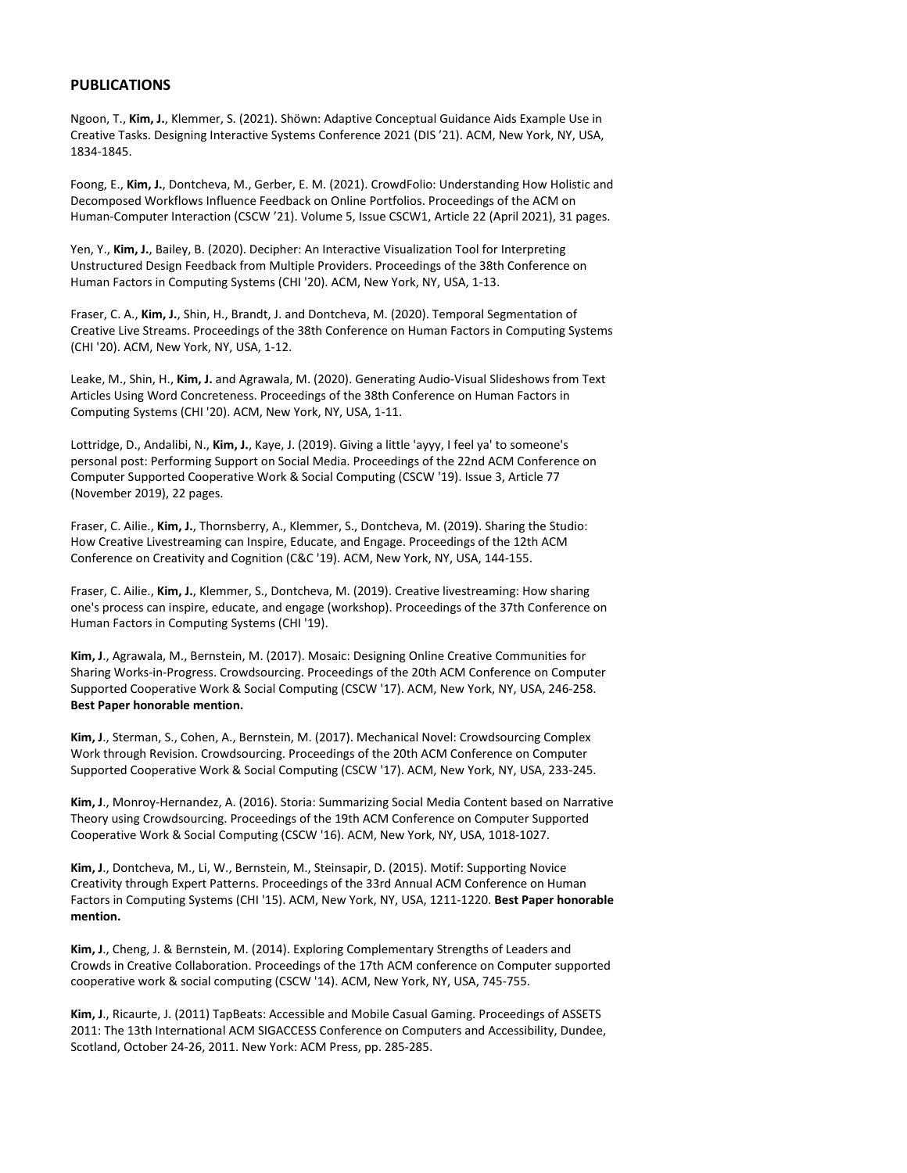#### **PUBLICATIONS**

Ngoon, T., **Kim, J.**, Klemmer, S. (2021). Shöwn: Adaptive Conceptual Guidance Aids Example Use in Creative Tasks. Designing Interactive Systems Conference 2021 (DIS '21). ACM, New York, NY, USA, 1834-1845.

Foong, E., **Kim, J.**, Dontcheva, M., Gerber, E. M. (2021). CrowdFolio: Understanding How Holistic and Decomposed Workflows Influence Feedback on Online Portfolios. Proceedings of the ACM on Human-Computer Interaction (CSCW '21). Volume 5, Issue CSCW1, Article 22 (April 2021), 31 pages.

Yen, Y., **Kim, J.**, Bailey, B. (2020). Decipher: An Interactive Visualization Tool for Interpreting Unstructured Design Feedback from Multiple Providers. Proceedings of the 38th Conference on Human Factors in Computing Systems (CHI '20). ACM, New York, NY, USA, 1-13.

Fraser, C. A., **Kim, J.**, Shin, H., Brandt, J. and Dontcheva, M. (2020). Temporal Segmentation of Creative Live Streams. Proceedings of the 38th Conference on Human Factors in Computing Systems (CHI '20). ACM, New York, NY, USA, 1-12.

Leake, M., Shin, H., **Kim, J.** and Agrawala, M. (2020). Generating Audio-Visual Slideshows from Text Articles Using Word Concreteness. Proceedings of the 38th Conference on Human Factors in Computing Systems (CHI '20). ACM, New York, NY, USA, 1-11.

Lottridge, D., Andalibi, N., **Kim, J.**, Kaye, J. (2019). Giving a little 'ayyy, I feel ya' to someone's personal post: Performing Support on Social Media. Proceedings of the 22nd ACM Conference on Computer Supported Cooperative Work & Social Computing (CSCW '19). Issue 3, Article 77 (November 2019), 22 pages.

Fraser, C. Ailie., **Kim, J.**, Thornsberry, A., Klemmer, S., Dontcheva, M. (2019). Sharing the Studio: How Creative Livestreaming can Inspire, Educate, and Engage. Proceedings of the 12th ACM Conference on Creativity and Cognition (C&C '19). ACM, New York, NY, USA, 144-155.

Fraser, C. Ailie., **Kim, J.**, Klemmer, S., Dontcheva, M. (2019). Creative livestreaming: How sharing one's process can inspire, educate, and engage (workshop). Proceedings of the 37th Conference on Human Factors in Computing Systems (CHI '19).

**Kim, J**., Agrawala, M., Bernstein, M. (2017). Mosaic: Designing Online Creative Communities for Sharing Works-in-Progress. Crowdsourcing. Proceedings of the 20th ACM Conference on Computer Supported Cooperative Work & Social Computing (CSCW '17). ACM, New York, NY, USA, 246-258. **Best Paper honorable mention.**

**Kim, J**., Sterman, S., Cohen, A., Bernstein, M. (2017). Mechanical Novel: Crowdsourcing Complex Work through Revision. Crowdsourcing. Proceedings of the 20th ACM Conference on Computer Supported Cooperative Work & Social Computing (CSCW '17). ACM, New York, NY, USA, 233-245.

**Kim, J**., Monroy-Hernandez, A. (2016). Storia: Summarizing Social Media Content based on Narrative Theory using Crowdsourcing. Proceedings of the 19th ACM Conference on Computer Supported Cooperative Work & Social Computing (CSCW '16). ACM, New York, NY, USA, 1018-1027.

**Kim, J**., Dontcheva, M., Li, W., Bernstein, M., Steinsapir, D. (2015). Motif: Supporting Novice Creativity through Expert Patterns. Proceedings of the 33rd Annual ACM Conference on Human Factors in Computing Systems (CHI '15). ACM, New York, NY, USA, 1211-1220. **Best Paper honorable mention.**

**Kim, J**., Cheng, J. & Bernstein, M. (2014). Exploring Complementary Strengths of Leaders and Crowds in Creative Collaboration. Proceedings of the 17th ACM conference on Computer supported cooperative work & social computing (CSCW '14). ACM, New York, NY, USA, 745-755.

**Kim, J**., Ricaurte, J. (2011) TapBeats: Accessible and Mobile Casual Gaming. Proceedings of ASSETS 2011: The 13th International ACM SIGACCESS Conference on Computers and Accessibility, Dundee, Scotland, October 24-26, 2011. New York: ACM Press, pp. 285-285.